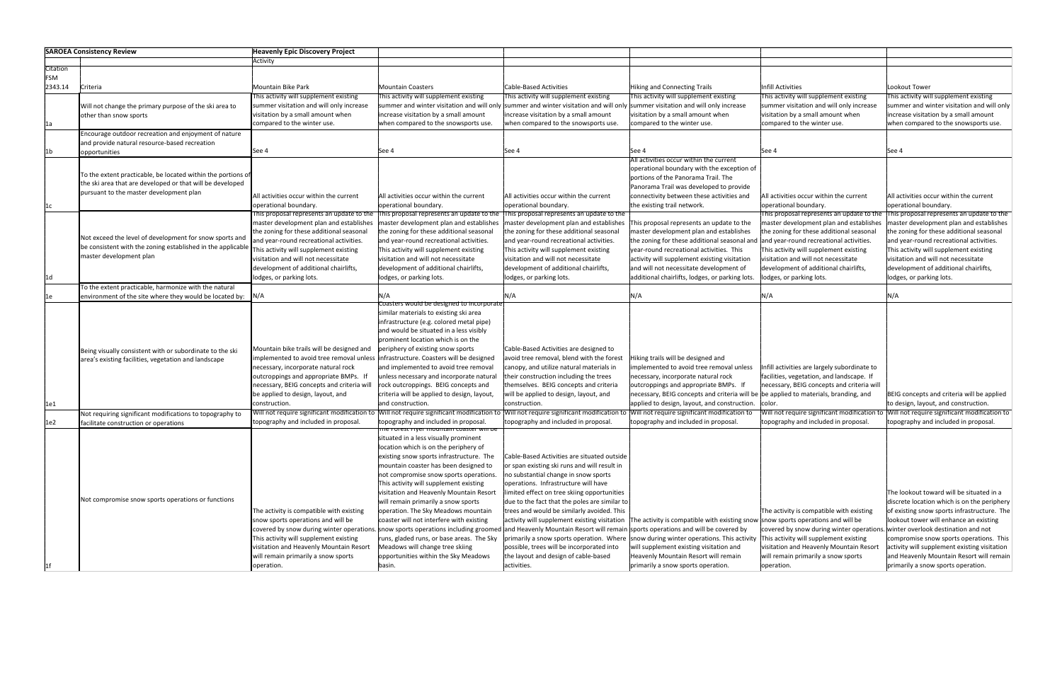

of existing snow sports infrastructure. The and Heavenly Mountain Resort will remain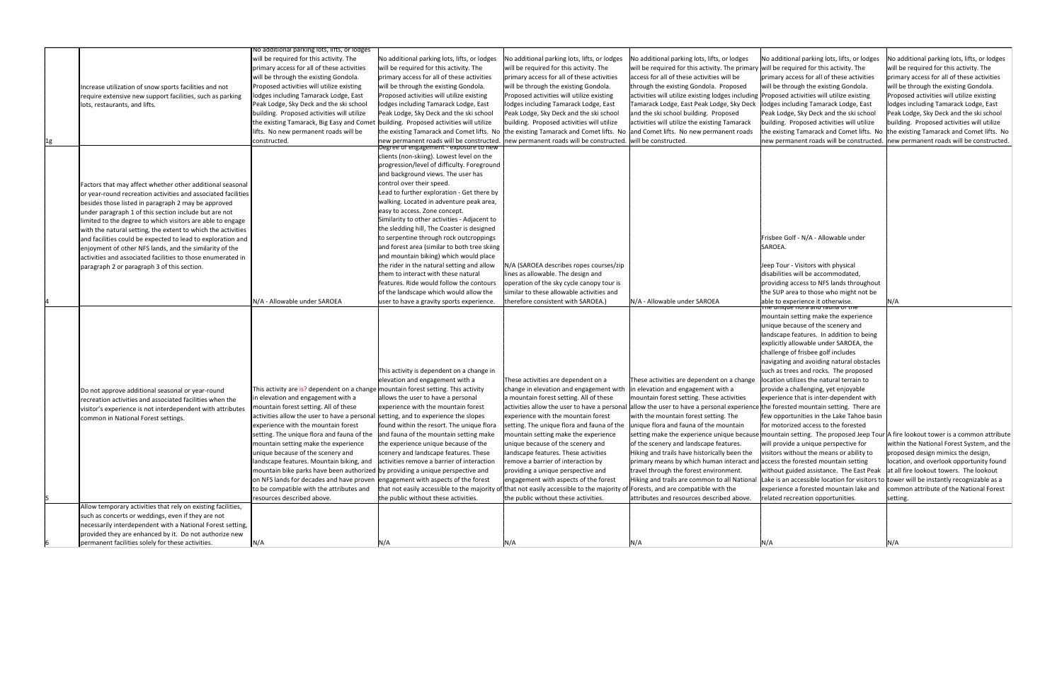|    |                                                               | No additional parking lots, lifts, or lodges                                       |                                                                                                                                  |                                                                                     |                                                                                                                                |                                                                                          |                                                                                     |
|----|---------------------------------------------------------------|------------------------------------------------------------------------------------|----------------------------------------------------------------------------------------------------------------------------------|-------------------------------------------------------------------------------------|--------------------------------------------------------------------------------------------------------------------------------|------------------------------------------------------------------------------------------|-------------------------------------------------------------------------------------|
|    |                                                               | will be required for this activity. The                                            | No additional parking lots, lifts, or lodges                                                                                     | No additional parking lots, lifts, or lodges                                        | No additional parking lots, lifts, or lodges                                                                                   | No additional parking lots, lifts, or lodges                                             | No additional parking lots, lifts, or lodges                                        |
|    |                                                               | primary access for all of these activities                                         | will be required for this activity. The                                                                                          | will be required for this activity. The                                             | will be required for this activity. The primary will be required for this activity. The                                        |                                                                                          | will be required for this activity. The                                             |
|    |                                                               | will be through the existing Gondola.                                              | primary access for all of these activities                                                                                       | primary access for all of these activities                                          | access for all of these activities will be                                                                                     | primary access for all of these activities                                               | primary access for all of these activities                                          |
|    |                                                               | Proposed activities will utilize existing                                          | will be through the existing Gondola.                                                                                            | will be through the existing Gondola.                                               | through the existing Gondola. Proposed                                                                                         | will be through the existing Gondola.                                                    | will be through the existing Gondola.                                               |
|    | Increase utilization of snow sports facilities and not        |                                                                                    |                                                                                                                                  |                                                                                     |                                                                                                                                |                                                                                          |                                                                                     |
|    | require extensive new support facilities, such as parking     | lodges including Tamarack Lodge, East                                              | Proposed activities will utilize existing                                                                                        | Proposed activities will utilize existing                                           | activities will utilize existing lodges including  Proposed activities will utilize existing                                   |                                                                                          | Proposed activities will utilize existing                                           |
|    | lots, restaurants, and lifts.                                 | Peak Lodge, Sky Deck and the ski school                                            | lodges including Tamarack Lodge, East                                                                                            | lodges including Tamarack Lodge, East                                               | Tamarack Lodge, East Peak Lodge, Sky Deck                                                                                      | lodges including Tamarack Lodge, East                                                    | lodges including Tamarack Lodge, East                                               |
|    |                                                               | building. Proposed activities will utilize                                         | Peak Lodge, Sky Deck and the ski school                                                                                          | Peak Lodge, Sky Deck and the ski school                                             | and the ski school building. Proposed                                                                                          | Peak Lodge, Sky Deck and the ski school                                                  | Peak Lodge, Sky Deck and the ski school                                             |
|    |                                                               | the existing Tamarack, Big Easy and Comet                                          | building. Proposed activities will utilize                                                                                       | building. Proposed activities will utilize                                          | activities will utilize the existing Tamarack                                                                                  | building. Proposed activities will utilize                                               | building. Proposed activities will utilize                                          |
|    |                                                               | ifts. No new permanent roads will be                                               |                                                                                                                                  | the existing Tamarack and Comet lifts. No the existing Tamarack and Comet lifts. No | and Comet lifts. No new permanent roads                                                                                        |                                                                                          | the existing Tamarack and Comet lifts. No the existing Tamarack and Comet lifts. No |
| 1g |                                                               | constructed.                                                                       | new permanent roads will be constructed.                                                                                         | new permanent roads will be constructed.                                            | will be constructed.                                                                                                           | new permanent roads will be constructed.                                                 | new permanent roads will be constructed.                                            |
|    |                                                               |                                                                                    | Degree of engagement - exposure to new                                                                                           |                                                                                     |                                                                                                                                |                                                                                          |                                                                                     |
|    |                                                               |                                                                                    | clients (non-skiing). Lowest level on the                                                                                        |                                                                                     |                                                                                                                                |                                                                                          |                                                                                     |
|    |                                                               |                                                                                    | progression/level of difficulty. Foreground                                                                                      |                                                                                     |                                                                                                                                |                                                                                          |                                                                                     |
|    |                                                               |                                                                                    | and background views. The user has                                                                                               |                                                                                     |                                                                                                                                |                                                                                          |                                                                                     |
|    | Factors that may affect whether other additional seasonal     |                                                                                    | control over their speed.                                                                                                        |                                                                                     |                                                                                                                                |                                                                                          |                                                                                     |
|    | or year-round recreation activities and associated facilities |                                                                                    | Lead to further exploration - Get there by                                                                                       |                                                                                     |                                                                                                                                |                                                                                          |                                                                                     |
|    | besides those listed in paragraph 2 may be approved           |                                                                                    | walking. Located in adventure peak area,                                                                                         |                                                                                     |                                                                                                                                |                                                                                          |                                                                                     |
|    | under paragraph 1 of this section include but are not         |                                                                                    | easy to access. Zone concept.                                                                                                    |                                                                                     |                                                                                                                                |                                                                                          |                                                                                     |
|    | limited to the degree to which visitors are able to engage    |                                                                                    | Similarity to other activities - Adjacent to                                                                                     |                                                                                     |                                                                                                                                |                                                                                          |                                                                                     |
|    | with the natural setting, the extent to which the activities  |                                                                                    | the sledding hill, The Coaster is designed                                                                                       |                                                                                     |                                                                                                                                |                                                                                          |                                                                                     |
|    | and facilities could be expected to lead to exploration and   |                                                                                    | to serpentine through rock outcroppings                                                                                          |                                                                                     |                                                                                                                                | Frisbee Golf - N/A - Allowable under                                                     |                                                                                     |
|    | enjoyment of other NFS lands, and the similarity of the       |                                                                                    | and forest area (similar to both tree skiing                                                                                     |                                                                                     |                                                                                                                                | SAROEA.                                                                                  |                                                                                     |
|    | activities and associated facilities to those enumerated in   |                                                                                    | and mountain biking) which would place                                                                                           |                                                                                     |                                                                                                                                |                                                                                          |                                                                                     |
|    | paragraph 2 or paragraph 3 of this section.                   |                                                                                    | the rider in the natural setting and allow                                                                                       | N/A (SAROEA describes ropes courses/zip)                                            |                                                                                                                                | leep Tour - Visitors with physical                                                       |                                                                                     |
|    |                                                               |                                                                                    | them to interact with these natural                                                                                              | ines as allowable. The design and                                                   |                                                                                                                                | disabilities will be accommodated,                                                       |                                                                                     |
|    |                                                               |                                                                                    | features. Ride would follow the contours                                                                                         | operation of the sky cycle canopy tour is                                           |                                                                                                                                | providing access to NFS lands throughout                                                 |                                                                                     |
|    |                                                               |                                                                                    | of the landscape which would allow the                                                                                           | similar to these allowable activities and                                           |                                                                                                                                | the SUP area to those who might not be                                                   |                                                                                     |
|    |                                                               | N/A - Allowable under SAROEA                                                       | user to have a gravity sports experience.                                                                                        | therefore consistent with SAROEA.)                                                  | N/A - Allowable under SAROEA                                                                                                   | able to experience it otherwise.                                                         | N/A                                                                                 |
|    |                                                               |                                                                                    |                                                                                                                                  |                                                                                     |                                                                                                                                | <del>ne unique nora and rauna or the</del>                                               |                                                                                     |
|    |                                                               |                                                                                    |                                                                                                                                  |                                                                                     |                                                                                                                                | mountain setting make the experience                                                     |                                                                                     |
|    |                                                               |                                                                                    |                                                                                                                                  |                                                                                     |                                                                                                                                | unique because of the scenery and                                                        |                                                                                     |
|    |                                                               |                                                                                    |                                                                                                                                  |                                                                                     |                                                                                                                                | landscape features. In addition to being                                                 |                                                                                     |
|    |                                                               |                                                                                    |                                                                                                                                  |                                                                                     |                                                                                                                                | explicitly allowable under SAROEA, the                                                   |                                                                                     |
|    |                                                               |                                                                                    |                                                                                                                                  |                                                                                     |                                                                                                                                | challenge of frisbee golf includes                                                       |                                                                                     |
|    |                                                               |                                                                                    |                                                                                                                                  |                                                                                     |                                                                                                                                | navigating and avoiding natural obstacles                                                |                                                                                     |
|    |                                                               |                                                                                    | This activity is dependent on a change in                                                                                        |                                                                                     |                                                                                                                                | such as trees and rocks. The proposed                                                    |                                                                                     |
|    |                                                               |                                                                                    |                                                                                                                                  |                                                                                     | These activities are dependent on a change                                                                                     | location utilizes the natural terrain to                                                 |                                                                                     |
|    |                                                               |                                                                                    | elevation and engagement with a                                                                                                  | These activities are dependent on a                                                 |                                                                                                                                |                                                                                          |                                                                                     |
|    | Do not approve additional seasonal or year-round              | This activity are is? dependent on a change mountain forest setting. This activity |                                                                                                                                  | change in elevation and engagement with                                             | in elevation and engagement with a                                                                                             | provide a challenging, yet enjoyable                                                     |                                                                                     |
|    | recreation activities and associated facilities when the      | n elevation and engagement with a                                                  | allows the user to have a personal                                                                                               | a mountain forest setting. All of these                                             | mountain forest setting. These activities                                                                                      | experience that is inter-dependent with                                                  |                                                                                     |
|    | visitor's experience is not interdependent with attributes    | mountain forest setting. All of these                                              | lexperience with the mountain forest                                                                                             | activities allow the user to have a personal                                        | allow the user to have a personal experience the forested mountain setting. There are                                          |                                                                                          |                                                                                     |
|    | common in National Forest settings.                           | activities allow the user to have a personal setting, and to experience the slopes |                                                                                                                                  | experience with the mountain forest                                                 | with the mountain forest setting. The                                                                                          | few opportunities in the Lake Tahoe basin                                                |                                                                                     |
|    |                                                               | experience with the mountain forest                                                | found within the resort. The unique flora                                                                                        | setting. The unique flora and fauna of the                                          | unique flora and fauna of the mountain                                                                                         | for motorized access to the forested                                                     |                                                                                     |
|    |                                                               | setting. The unique flora and fauna of the and fauna of the mountain setting make  |                                                                                                                                  | mountain setting make the experience                                                | setting make the experience unique because mountain setting. The proposed Jeep Tour A fire lookout tower is a common attribute |                                                                                          |                                                                                     |
|    |                                                               | mountain setting make the experience                                               | the experience unique because of the                                                                                             | unique because of the scenery and                                                   | of the scenery and landscape features.                                                                                         | will provide a unique perspective for                                                    | within the National Forest System, and the                                          |
|    |                                                               | unique because of the scenery and                                                  | scenery and landscape features. These                                                                                            | landscape features. These activities                                                | Hiking and trails have historically been the                                                                                   | visitors without the means or ability to                                                 | proposed design mimics the design,                                                  |
|    |                                                               | landscape features. Mountain biking, and                                           | activities remove a barrier of interaction                                                                                       | remove a barrier of interaction by                                                  | primary means by which human interact and access the forested mountain setting                                                 |                                                                                          | location, and overlook opportunity found                                            |
|    |                                                               | mountain bike parks have been authorized by providing a unique perspective and     |                                                                                                                                  | providing a unique perspective and                                                  | travel through the forest environment.                                                                                         | without guided assistance. The East Peak at all fire lookout towers. The lookout         |                                                                                     |
|    |                                                               | on NFS lands for decades and have proven engagement with aspects of the forest     |                                                                                                                                  | engagement with aspects of the forest                                               | Hiking and trails are common to all National                                                                                   | Lake is an accessible location for visitors to tower will be instantly recognizable as a |                                                                                     |
|    |                                                               | to be compatible with the attributes and                                           | that not easily accessible to the majority of that not easily accessible to the majority of Forests, and are compatible with the |                                                                                     |                                                                                                                                | experience a forested mountain lake and                                                  | common attribute of the National Forest                                             |
|    |                                                               | resources described above.                                                         | the public without these activities.                                                                                             | the public without these activities.                                                | attributes and resources described above.                                                                                      | related recreation opportunities.                                                        | setting.                                                                            |
|    | Allow temporary activities that rely on existing facilities,  |                                                                                    |                                                                                                                                  |                                                                                     |                                                                                                                                |                                                                                          |                                                                                     |
|    | such as concerts or weddings, even if they are not            |                                                                                    |                                                                                                                                  |                                                                                     |                                                                                                                                |                                                                                          |                                                                                     |
|    | necessarily interdependent with a National Forest setting,    |                                                                                    |                                                                                                                                  |                                                                                     |                                                                                                                                |                                                                                          |                                                                                     |
|    | provided they are enhanced by it. Do not authorize new        |                                                                                    |                                                                                                                                  |                                                                                     |                                                                                                                                |                                                                                          |                                                                                     |
|    | permanent facilities solely for these activities.             | N/A                                                                                | N/A                                                                                                                              | N/A                                                                                 | N/A                                                                                                                            | N/A                                                                                      | N/A                                                                                 |
|    |                                                               |                                                                                    |                                                                                                                                  |                                                                                     |                                                                                                                                |                                                                                          |                                                                                     |